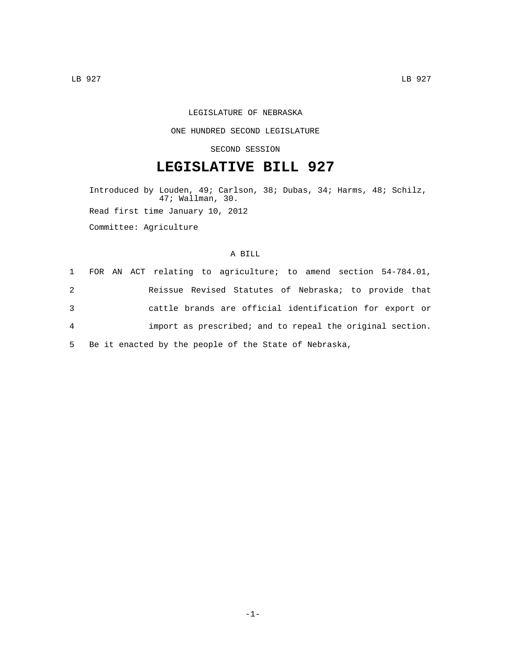## LEGISLATURE OF NEBRASKA

#### ONE HUNDRED SECOND LEGISLATURE

#### SECOND SESSION

# **LEGISLATIVE BILL 927**

Introduced by Louden, 49; Carlson, 38; Dubas, 34; Harms, 48; Schilz, 47; Wallman, 30. Read first time January 10, 2012 Committee: Agriculture

### A BILL

|                | 1 FOR AN ACT relating to agriculture; to amend section 54-784.01, |
|----------------|-------------------------------------------------------------------|
| 2              | Reissue Revised Statutes of Nebraska; to provide that             |
| 3              | cattle brands are official identification for export or           |
| $\overline{4}$ | import as prescribed; and to repeal the original section.         |
| 5              | Be it enacted by the people of the State of Nebraska,             |